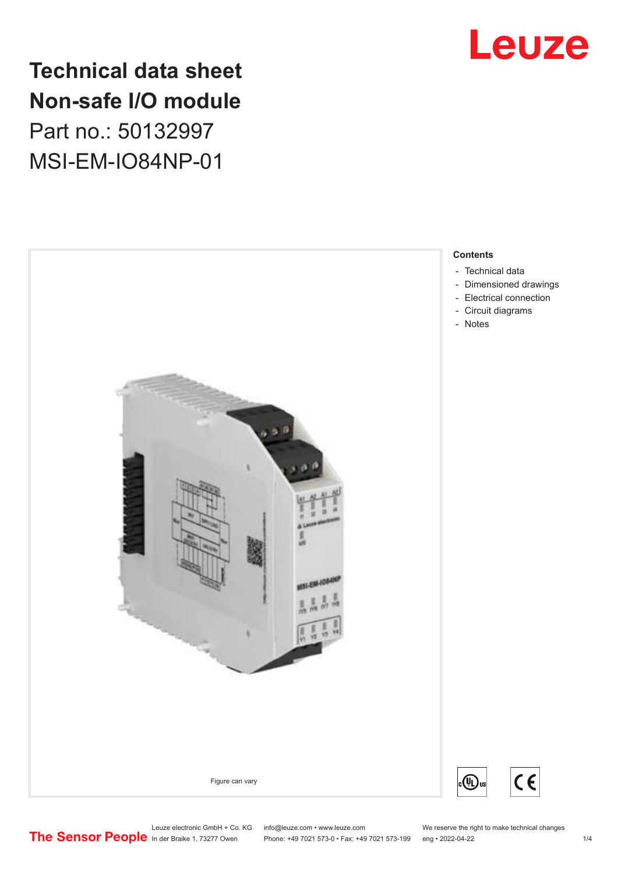

# **Technical data sheet Non-safe I/O module** Part no.: 50132997 MSI-EM-IO84NP-01



Leuze electronic GmbH + Co. KG info@leuze.com • www.leuze.com We reserve the right to make technical changes<br>
The Sensor People in der Braike 1, 73277 Owen Phone: +49 7021 573-0 • Fax: +49 7021 573-199 eng • 2022-04-22

Phone: +49 7021 573-0 • Fax: +49 7021 573-199 eng • 2022-04-22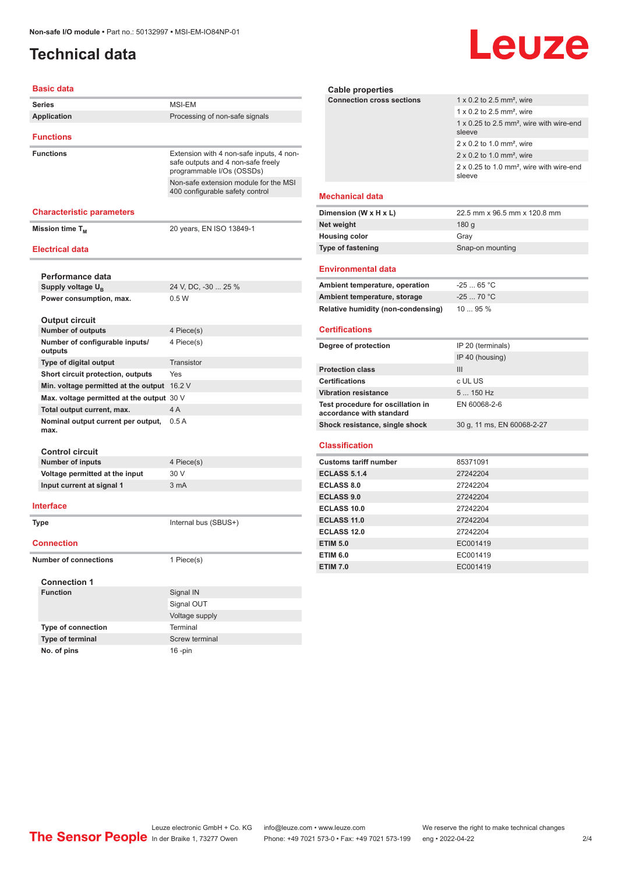## <span id="page-1-0"></span>**Technical data**

# **Leuze**

#### **Basic data**

| <b>Basic data</b>                           |                                                                                                             |
|---------------------------------------------|-------------------------------------------------------------------------------------------------------------|
| <b>Series</b>                               | <b>MSI-EM</b>                                                                                               |
| <b>Application</b>                          | Processing of non-safe signals                                                                              |
|                                             |                                                                                                             |
| <b>Functions</b>                            |                                                                                                             |
| <b>Functions</b>                            | Extension with 4 non-safe inputs, 4 non-<br>safe outputs and 4 non-safe freely<br>programmable I/Os (OSSDs) |
|                                             | Non-safe extension module for the MSI<br>400 configurable safety control                                    |
| <b>Characteristic parameters</b>            |                                                                                                             |
| Mission time T <sub>M</sub>                 | 20 years, EN ISO 13849-1                                                                                    |
| <b>Electrical data</b>                      |                                                                                                             |
| Performance data                            |                                                                                                             |
| Supply voltage U <sub>B</sub>               | 24 V, DC, -30  25 %                                                                                         |
| Power consumption, max.                     | 0.5W                                                                                                        |
|                                             |                                                                                                             |
| <b>Output circuit</b>                       |                                                                                                             |
| <b>Number of outputs</b>                    | 4 Piece(s)                                                                                                  |
| Number of configurable inputs/<br>outputs   | 4 Piece(s)                                                                                                  |
| Type of digital output                      | Transistor                                                                                                  |
| Short circuit protection, outputs           | <b>Yes</b>                                                                                                  |
| Min. voltage permitted at the output 16.2 V |                                                                                                             |
| Max. voltage permitted at the output 30 V   |                                                                                                             |
| Total output current, max.                  | 4A                                                                                                          |
| Nominal output current per output,<br>max.  | 0.5A                                                                                                        |
| <b>Control circuit</b>                      |                                                                                                             |
| <b>Number of inputs</b>                     | 4 Piece(s)                                                                                                  |
| Voltage permitted at the input              | 30 V                                                                                                        |
| Input current at signal 1                   | 3 <sub>m</sub> A                                                                                            |
| Interface                                   |                                                                                                             |
| <b>Type</b>                                 | Internal bus (SBUS+)                                                                                        |
| <b>Connection</b>                           |                                                                                                             |
| <b>Number of connections</b>                | 1 Piece(s)                                                                                                  |
| <b>Connection 1</b>                         |                                                                                                             |
| <b>Function</b>                             | Signal IN                                                                                                   |
|                                             | Signal OUT                                                                                                  |
|                                             | Voltage supply                                                                                              |
| Type of connection                          | Terminal                                                                                                    |
| Type of terminal                            | Screw terminal                                                                                              |
| No. of pins                                 | $16$ -pin                                                                                                   |

| Cable properties                 |                                                                       |
|----------------------------------|-----------------------------------------------------------------------|
| <b>Connection cross sections</b> | 1 x 0.2 to 2.5 mm <sup>2</sup> , wire                                 |
|                                  | 1 x 0.2 to 2.5 mm <sup>2</sup> , wire                                 |
|                                  | 1 x 0.25 to 2.5 mm <sup>2</sup> , wire with wire-end<br>sleeve        |
|                                  | $2 \times 0.2$ to 1.0 mm <sup>2</sup> , wire                          |
|                                  | $2 \times 0.2$ to 1.0 mm <sup>2</sup> , wire                          |
|                                  | $2 \times 0.25$ to 1.0 mm <sup>2</sup> , wire with wire-end<br>sleeve |
| <b>Mechanical data</b>           |                                                                       |
| Dimension (W x H x L)            | 22.5 mm x 96.5 mm x 120.8 mm                                          |
| Net weight                       | 180q                                                                  |
| <b>Housing color</b>             | Gray                                                                  |
| <b>Type of fastening</b>         | Snap-on mounting                                                      |

#### **Environmental data**

| Ambient temperature, operation     | $-2565 °C$ |
|------------------------------------|------------|
| Ambient temperature, storage       | $-2570 °C$ |
| Relative humidity (non-condensing) | 1095%      |

#### **Certifications**

| Degree of protection                                          | IP 20 (terminals)          |
|---------------------------------------------------------------|----------------------------|
|                                                               | IP 40 (housing)            |
| <b>Protection class</b>                                       | Ш                          |
| <b>Certifications</b>                                         | c UL US                    |
| <b>Vibration resistance</b>                                   | $5150$ Hz                  |
| Test procedure for oscillation in<br>accordance with standard | EN 60068-2-6               |
| Shock resistance, single shock                                | 30 g, 11 ms, EN 60068-2-27 |

#### **Classification**

| <b>Customs tariff number</b> | 85371091 |
|------------------------------|----------|
| <b>ECLASS 5.1.4</b>          | 27242204 |
| <b>ECLASS 8.0</b>            | 27242204 |
| <b>ECLASS 9.0</b>            | 27242204 |
| ECLASS 10.0                  | 27242204 |
| ECLASS 11.0                  | 27242204 |
| ECLASS 12.0                  | 27242204 |
| <b>ETIM 5.0</b>              | EC001419 |
| <b>ETIM 6.0</b>              | EC001419 |
| <b>ETIM 7.0</b>              | EC001419 |

Leuze electronic GmbH + Co. KG info@leuze.com • www.leuze.com We reserve the right to make technical changes In der Braike 1, 73277 Owen Phone: +49 7021 573-0 • Fax: +49 7021 573-199 eng • 2022-04-22 2 /4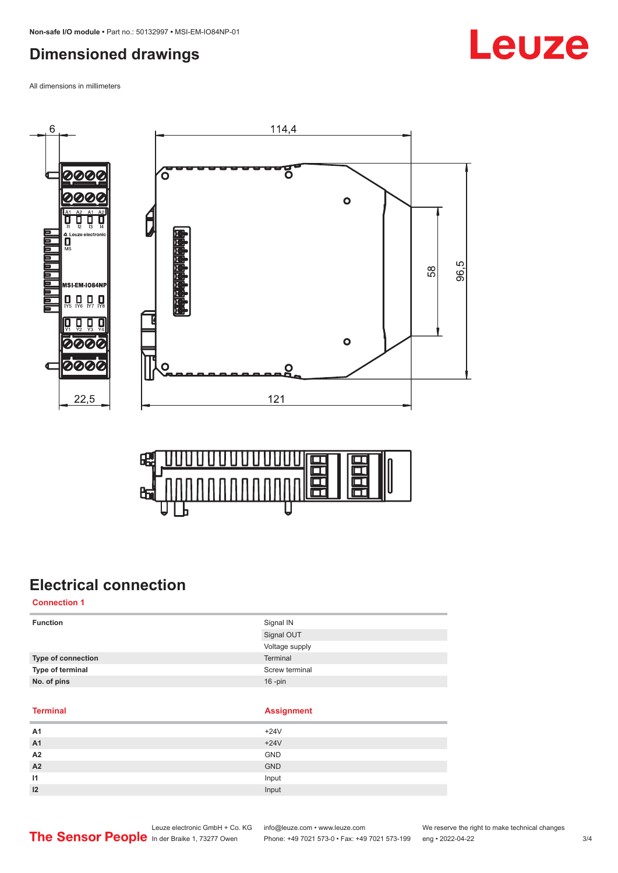# <span id="page-2-0"></span>**Dimensioned drawings**

All dimensions in millimeters





## **Electrical connection**

**Connection 1**

| <b>Function</b>           | Signal IN      |
|---------------------------|----------------|
|                           | Signal OUT     |
|                           | Voltage supply |
| <b>Type of connection</b> | Terminal       |
| Type of terminal          | Screw terminal |
| No. of pins               | $16$ -pin      |
|                           |                |

**Terminal Assignment**

| A <sub>1</sub> | $+24V$     |
|----------------|------------|
| A <sub>1</sub> | $+24V$     |
| A2             | GND        |
| A2             | <b>GND</b> |
| 11             | Input      |
| 12             | Input      |